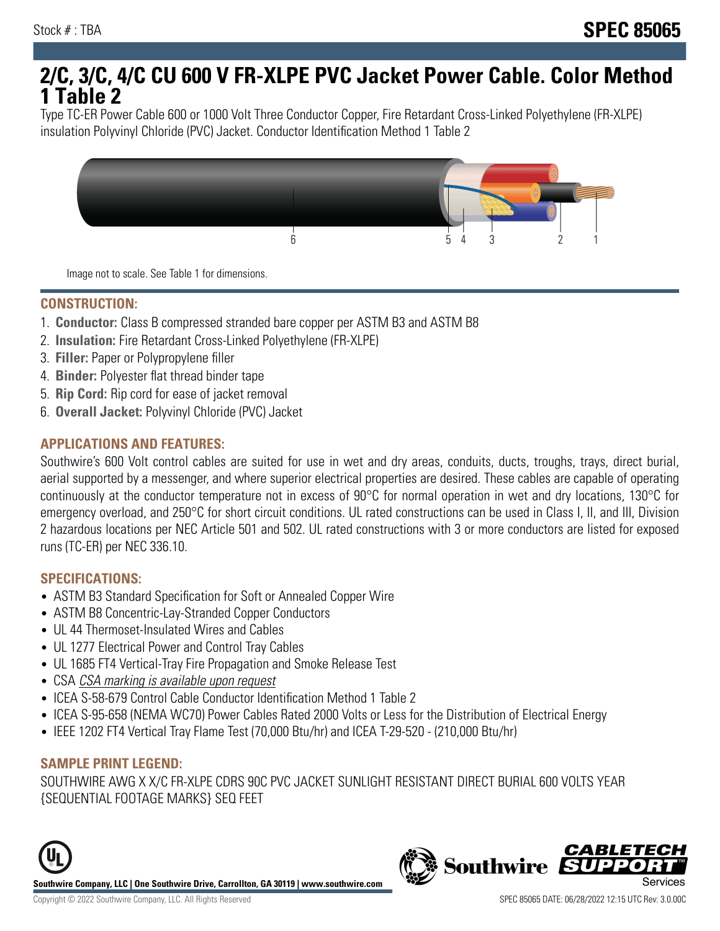# **2/C, 3/C, 4/C CU 600 V FR-XLPE PVC Jacket Power Cable. Color Method 1 Table 2**

Type TC-ER Power Cable 600 or 1000 Volt Three Conductor Copper, Fire Retardant Cross-Linked Polyethylene (FR-XLPE) insulation Polyvinyl Chloride (PVC) Jacket. Conductor Identification Method 1 Table 2



Image not to scale. See Table 1 for dimensions.

#### **CONSTRUCTION:**

- 1. **Conductor:** Class B compressed stranded bare copper per ASTM B3 and ASTM B8
- 2. **Insulation:** Fire Retardant Cross-Linked Polyethylene (FR-XLPE)
- 3. **Filler:** Paper or Polypropylene filler
- 4. **Binder:** Polyester flat thread binder tape
- 5. **Rip Cord:** Rip cord for ease of jacket removal
- 6. **Overall Jacket:** Polyvinyl Chloride (PVC) Jacket

## **APPLICATIONS AND FEATURES:**

Southwire's 600 Volt control cables are suited for use in wet and dry areas, conduits, ducts, troughs, trays, direct burial, aerial supported by a messenger, and where superior electrical properties are desired. These cables are capable of operating continuously at the conductor temperature not in excess of 90°C for normal operation in wet and dry locations, 130°C for emergency overload, and 250°C for short circuit conditions. UL rated constructions can be used in Class I, II, and III, Division 2 hazardous locations per NEC Article 501 and 502. UL rated constructions with 3 or more conductors are listed for exposed runs (TC-ER) per NEC 336.10.

#### **SPECIFICATIONS:**

- ASTM B3 Standard Specification for Soft or Annealed Copper Wire
- ASTM B8 Concentric-Lay-Stranded Copper Conductors
- UL 44 Thermoset-Insulated Wires and Cables
- UL 1277 Electrical Power and Control Tray Cables
- UL 1685 FT4 Vertical-Tray Fire Propagation and Smoke Release Test
- CSA CSA marking is available upon request
- ICEA S-58-679 Control Cable Conductor Identification Method 1 Table 2
- ICEA S-95-658 (NEMA WC70) Power Cables Rated 2000 Volts or Less for the Distribution of Electrical Energy
- IEEE 1202 FT4 Vertical Tray Flame Test (70,000 Btu/hr) and ICEA T-29-520 (210,000 Btu/hr)

#### **SAMPLE PRINT LEGEND:**

SOUTHWIRE AWG X X/C FR-XLPE CDRS 90C PVC JACKET SUNLIGHT RESISTANT DIRECT BURIAL 600 VOLTS YEAR {SEQUENTIAL FOOTAGE MARKS} SEQ FEET